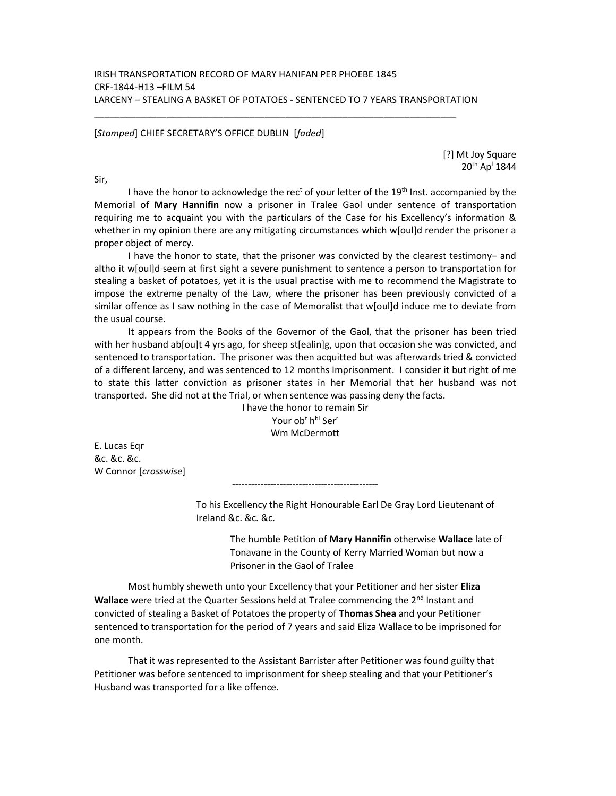\_\_\_\_\_\_\_\_\_\_\_\_\_\_\_\_\_\_\_\_\_\_\_\_\_\_\_\_\_\_\_\_\_\_\_\_\_\_\_\_\_\_\_\_\_\_\_\_\_\_\_\_\_\_\_\_\_\_\_\_\_\_\_\_\_\_\_\_\_\_

[Stamped] CHIEF SECRETARY'S OFFICE DUBLIN [faded]

[?] Mt Joy Square 20<sup>th</sup> Ap<sup>1</sup> 1844

Sir,

I have the honor to acknowledge the rec<sup>t</sup> of your letter of the 19<sup>th</sup> Inst. accompanied by the Memorial of Mary Hannifin now a prisoner in Tralee Gaol under sentence of transportation requiring me to acquaint you with the particulars of the Case for his Excellency's information & whether in my opinion there are any mitigating circumstances which w[oul]d render the prisoner a proper object of mercy.

 I have the honor to state, that the prisoner was convicted by the clearest testimony– and altho it w[oul]d seem at first sight a severe punishment to sentence a person to transportation for stealing a basket of potatoes, yet it is the usual practise with me to recommend the Magistrate to impose the extreme penalty of the Law, where the prisoner has been previously convicted of a similar offence as I saw nothing in the case of Memoralist that w[oul]d induce me to deviate from the usual course.

 It appears from the Books of the Governor of the Gaol, that the prisoner has been tried with her husband ab[ou]t 4 yrs ago, for sheep st[ealin]g, upon that occasion she was convicted, and sentenced to transportation. The prisoner was then acquitted but was afterwards tried & convicted of a different larceny, and was sentenced to 12 months Imprisonment. I consider it but right of me to state this latter conviction as prisoner states in her Memorial that her husband was not transported. She did not at the Trial, or when sentence was passing deny the facts.

I have the honor to remain Sir Your ob<sup>t</sup> h<sup>bl</sup> Ser<sup>r</sup> Wm McDermott

----------------------------------------------

E. Lucas Eqr &c. &c. &c. W Connor [crosswise]

> To his Excellency the Right Honourable Earl De Gray Lord Lieutenant of Ireland &c. &c. &c.

> > The humble Petition of Mary Hannifin otherwise Wallace late of Tonavane in the County of Kerry Married Woman but now a Prisoner in the Gaol of Tralee

 Most humbly sheweth unto your Excellency that your Petitioner and her sister Eliza **Wallace** were tried at the Quarter Sessions held at Tralee commencing the  $2^{nd}$  Instant and convicted of stealing a Basket of Potatoes the property of Thomas Shea and your Petitioner sentenced to transportation for the period of 7 years and said Eliza Wallace to be imprisoned for one month.

 That it was represented to the Assistant Barrister after Petitioner was found guilty that Petitioner was before sentenced to imprisonment for sheep stealing and that your Petitioner's Husband was transported for a like offence.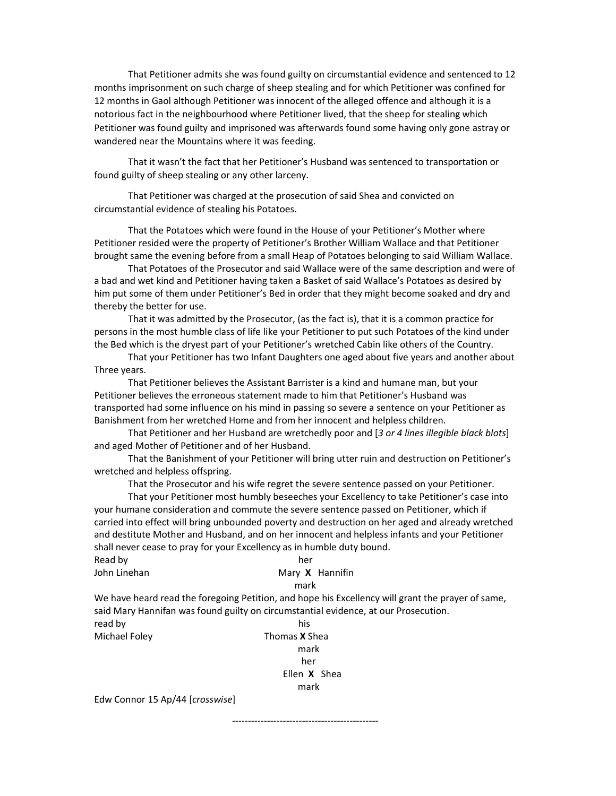That Petitioner admits she was found guilty on circumstantial evidence and sentenced to 12 months imprisonment on such charge of sheep stealing and for which Petitioner was confined for 12 months in Gaol although Petitioner was innocent of the alleged offence and although it is a notorious fact in the neighbourhood where Petitioner lived, that the sheep for stealing which Petitioner was found guilty and imprisoned was afterwards found some having only gone astray or wandered near the Mountains where it was feeding.

 That it wasn't the fact that her Petitioner's Husband was sentenced to transportation or found guilty of sheep stealing or any other larceny.

 That Petitioner was charged at the prosecution of said Shea and convicted on circumstantial evidence of stealing his Potatoes.

 That the Potatoes which were found in the House of your Petitioner's Mother where Petitioner resided were the property of Petitioner's Brother William Wallace and that Petitioner brought same the evening before from a small Heap of Potatoes belonging to said William Wallace.

 That Potatoes of the Prosecutor and said Wallace were of the same description and were of a bad and wet kind and Petitioner having taken a Basket of said Wallace's Potatoes as desired by him put some of them under Petitioner's Bed in order that they might become soaked and dry and thereby the better for use.

 That it was admitted by the Prosecutor, (as the fact is), that it is a common practice for persons in the most humble class of life like your Petitioner to put such Potatoes of the kind under the Bed which is the dryest part of your Petitioner's wretched Cabin like others of the Country.

 That your Petitioner has two Infant Daughters one aged about five years and another about Three years.

 That Petitioner believes the Assistant Barrister is a kind and humane man, but your Petitioner believes the erroneous statement made to him that Petitioner's Husband was transported had some influence on his mind in passing so severe a sentence on your Petitioner as Banishment from her wretched Home and from her innocent and helpless children.

 That Petitioner and her Husband are wretchedly poor and [3 or 4 lines illegible black blots] and aged Mother of Petitioner and of her Husband.

 That the Banishment of your Petitioner will bring utter ruin and destruction on Petitioner's wretched and helpless offspring.

That the Prosecutor and his wife regret the severe sentence passed on your Petitioner.

 That your Petitioner most humbly beseeches your Excellency to take Petitioner's case into your humane consideration and commute the severe sentence passed on Petitioner, which if carried into effect will bring unbounded poverty and destruction on her aged and already wretched and destitute Mother and Husband, and on her innocent and helpless infants and your Petitioner shall never cease to pray for your Excellency as in humble duty bound.

| Read by      | her             |
|--------------|-----------------|
| John Linehan | Mary X Hannifin |
|              | mark            |

We have heard read the foregoing Petition, and hope his Excellency will grant the prayer of same, said Mary Hannifan was found guilty on circumstantial evidence, at our Prosecution. read by his

Michael Foley **Thomas X** Shea mark her Ellen X Shea mark

----------------------------------------------

Edw Connor 15 Ap/44 [crosswise]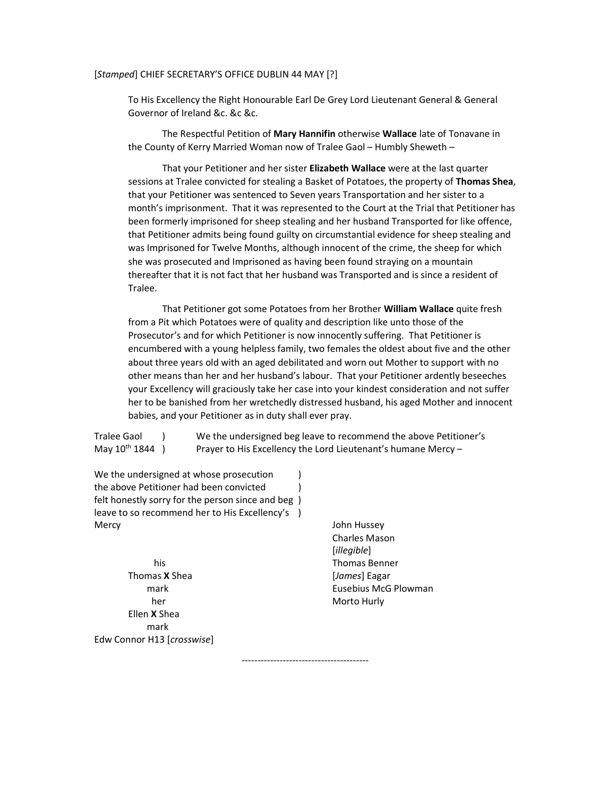## [Stamped] CHIEF SECRETARY'S OFFICE DUBLIN 44 MAY [?]

To His Excellency the Right Honourable Earl De Grey Lord Lieutenant General & General Governor of Ireland &c. &c &c.

 The Respectful Petition of Mary Hannifin otherwise Wallace late of Tonavane in the County of Kerry Married Woman now of Tralee Gaol – Humbly Sheweth –

That your Petitioner and her sister Elizabeth Wallace were at the last quarter sessions at Tralee convicted for stealing a Basket of Potatoes, the property of Thomas Shea, that your Petitioner was sentenced to Seven years Transportation and her sister to a month's imprisonment. That it was represented to the Court at the Trial that Petitioner has been formerly imprisoned for sheep stealing and her husband Transported for like offence, that Petitioner admits being found guilty on circumstantial evidence for sheep stealing and was Imprisoned for Twelve Months, although innocent of the crime, the sheep for which she was prosecuted and Imprisoned as having been found straying on a mountain thereafter that it is not fact that her husband was Transported and is since a resident of Tralee.

That Petitioner got some Potatoes from her Brother William Wallace quite fresh from a Pit which Potatoes were of quality and description like unto those of the Prosecutor's and for which Petitioner is now innocently suffering. That Petitioner is encumbered with a young helpless family, two females the oldest about five and the other about three years old with an aged debilitated and worn out Mother to support with no other means than her and her husband's labour. That your Petitioner ardently beseeches your Excellency will graciously take her case into your kindest consideration and not suffer her to be banished from her wretchedly distressed husband, his aged Mother and innocent babies, and your Petitioner as in duty shall ever pray.

Tralee Gaol ) We the undersigned beg leave to recommend the above Petitioner's May  $10^{th}$  1844 ) Prayer to His Excellency the Lord Lieutenant's humane Mercy –

----------------------------------------

We the undersigned at whose prosecution  $\qquad)$ the above Petitioner had been convicted ) felt honestly sorry for the person since and beg ) leave to so recommend her to His Excellency's ) Mercy John Hussey

Thomas **X** Shea [James] Eagar her Morto Hurly Morto Hurly Ellen X Shea mark Edw Connor H13 [crosswise]

 Charles Mason [illegible] his Thomas Benner mark Eusebius McG Plowman